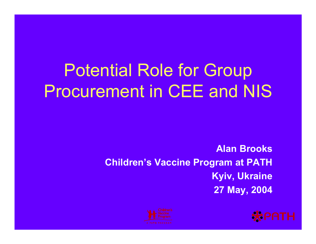# Potential Role for Group Procurement in CEE and NIS

### **Alan BrooksChildren's Vaccine Program at PATH Kyiv, Ukraine 27 May, 2004**



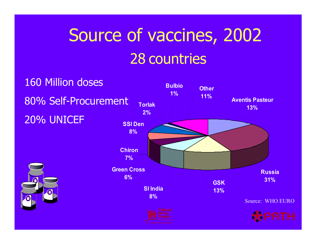# Source of vaccines, 2002 28 countries

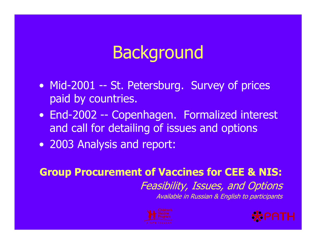# **Background**

- Mid-2001 -- St. Petersburg. Survey of prices paid by countries.
- End-2002 -- Copenhagen. Formalized interest and call for detailing of issues and options
- 2003 Analysis and report:

### **Group Procurement of Vaccines for CEE & NIS:**  Feasibility, Issues, and Options Available in Russian & English to participants



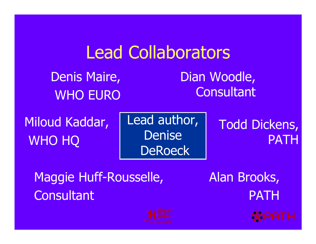## Lead Collaborators

Denis Maire, WHO EURO Dian Woodle, **Consultant** 

Miloud Kaddar, WHO HQ

Lead author, DeniseDeRoeck

### Todd Dickens, PATH

Maggie Huff-Rousselle, **Consultant** 



Alan Brooks, PATH

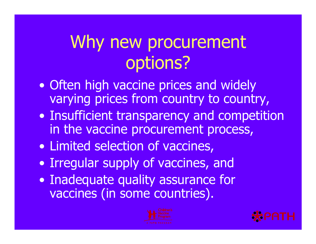# Why new procurement options?

- Often high vaccine prices and widely varying prices from country to country,
- Insufficient transparency and competition in the vaccine procurement process,
- Limited selection of vaccines,
- Irregular supply of vaccines, and
- Inadequate quality assurance for vaccines (in some countries).



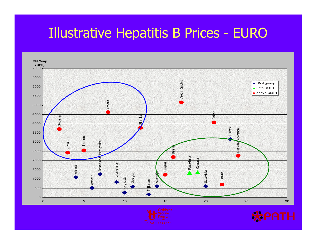### Illustrative Hepatitis B Prices - EURO





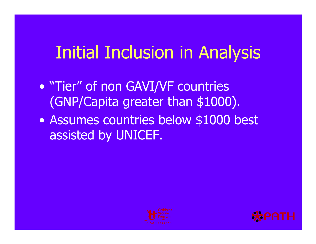# Initial Inclusion in Analysis

- "Tier" of non GAVI/VF countries (GNP/Capita greater than \$1000).
- Assumes countries below \$1000 best assisted by UNICEF.



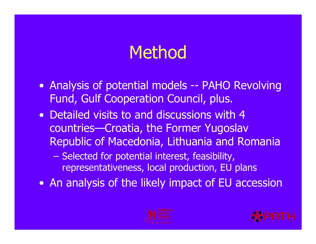## Method

- Analysis of potential models -- PAHO Revolving Fund, Gulf Cooperation Council, plus.
- Detailed visits to and discussions with 4 countries—Croatia, the Former Yugoslav Republic of Macedonia, Lithuania and Romania
	- $\mathcal{L}_{\mathcal{A}}$ – Selected for potential interest, feasibility, representativeness, local production, EU plans
- An analysis of the likely impact of EU accession



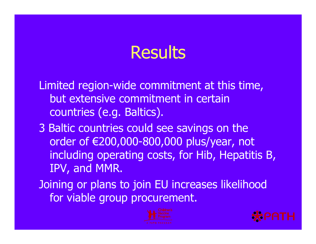## **Results**

Limited region-wide commitment at this time, but extensive commitment in certain countries (e.g. Baltics).

- 3 Baltic countries could see savings on the order of €200,000-800,000 plus/year, not including operating costs, for Hib, Hepatitis B, IPV, and MMR.
- Joining or plans to join EU increases likelihood for viable group procurement.



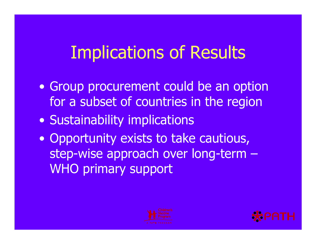# Implications of Results

- Group procurement could be an option for a subset of countries in the region
- Sustainability implications
- Opportunity exists to take cautious, step-wise approach over long-term – WHO primary support



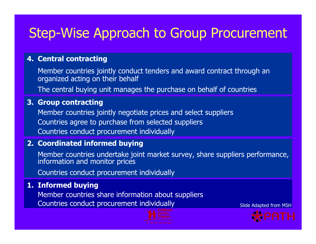### Step-Wise Approach to Group Procurement

#### **4. Central contracting**

Member countries jointly conduct tenders and award contract through an organized acting on their behalf

The central buying unit manages the purchase on behalf of c ountries

#### **3. Group contracting**

Member cou n t ries jointly negotiate prices and select suppliers Countries agree to purchase from selected suppliers Countries conduct procurement individuall y

#### **2. Coordinated informed buying**

Member countries undertake joint market survey, share suppliers performance,<br>information and monitor prices

Countries conduct procurement individuall y

#### **1. Informed buying**

Member cou n t ries share information about suppliers Countries conduct procurement individuall



 $\mathsf y$  Slide Adapted from MSH